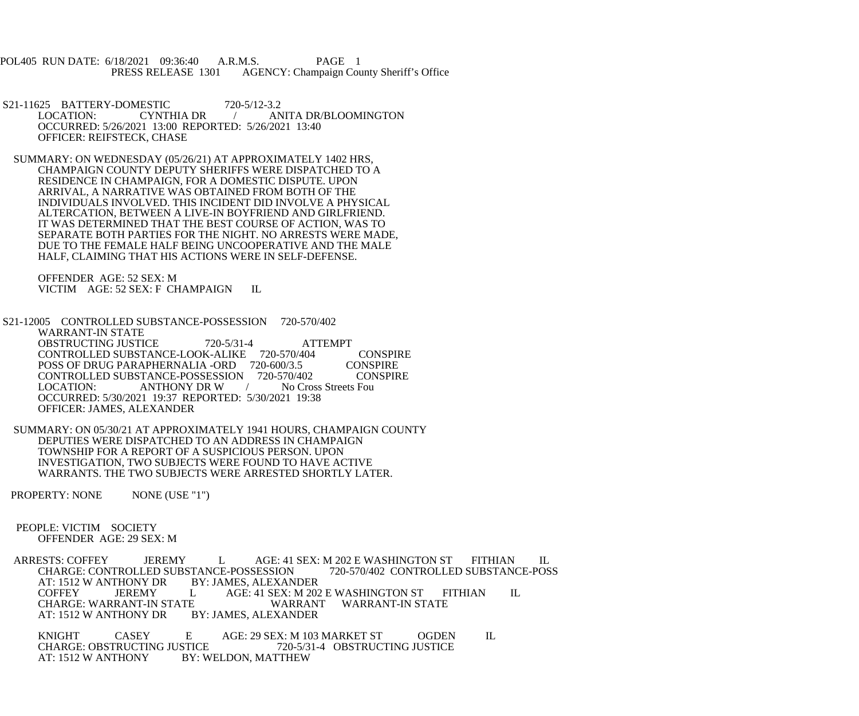POL405 RUN DATE: 6/18/2021 09:36:40 A.R.M.S. PAGE 1<br>PRESS RELEASE 1301 AGENCY: Champaign Cou AGENCY: Champaign County Sheriff's Office

S21-11625 BATTERY-DOMESTIC 720-5/12-3.2<br>LOCATION: CYNTHIA DR ANITA DR/BLOOMINGTON OCCURRED: 5/26/2021 13:00 REPORTED: 5/26/2021 13:40 OFFICER: REIFSTECK, CHASE

 SUMMARY: ON WEDNESDAY (05/26/21) AT APPROXIMATELY 1402 HRS, CHAMPAIGN COUNTY DEPUTY SHERIFFS WERE DISPATCHED TO A RESIDENCE IN CHAMPAIGN, FOR A DOMESTIC DISPUTE. UPON ARRIVAL, A NARRATIVE WAS OBTAINED FROM BOTH OF THE INDIVIDUALS INVOLVED. THIS INCIDENT DID INVOLVE A PHYSICAL ALTERCATION, BETWEEN A LIVE-IN BOYFRIEND AND GIRLFRIEND. IT WAS DETERMINED THAT THE BEST COURSE OF ACTION, WAS TO SEPARATE BOTH PARTIES FOR THE NIGHT. NO ARRESTS WERE MADE, DUE TO THE FEMALE HALF BEING UNCOOPERATIVE AND THE MALE HALF, CLAIMING THAT HIS ACTIONS WERE IN SELF-DEFENSE.

 OFFENDER AGE: 52 SEX: M VICTIM AGE: 52 SEX: F CHAMPAIGN IL

 S21-12005 CONTROLLED SUBSTANCE-POSSESSION 720-570/402 WARRANT-IN STATE OBSTRUCTING JUSTICE  $720-5/31-4$  ATTEMPT CONTROLLED SUBSTANCE-LOOK-ALIKE 720-570/404 CONSPIRE POSS OF DRUG PARAPHERNALIA -ORD 720-600/3.5 CONSPIRE<br>CONTROLLED SUBSTANCE-POSSESSION 720-570/402 CONSPIRE CONTROLLED SUBSTANCE-POSSESSION 720-570/402 CON<br>LOCATION: ANTHONY DR W / No Cross Streets Fou ANTHONY DR W OCCURRED: 5/30/2021 19:37 REPORTED: 5/30/2021 19:38 OFFICER: JAMES, ALEXANDER

 SUMMARY: ON 05/30/21 AT APPROXIMATELY 1941 HOURS, CHAMPAIGN COUNTY DEPUTIES WERE DISPATCHED TO AN ADDRESS IN CHAMPAIGN TOWNSHIP FOR A REPORT OF A SUSPICIOUS PERSON. UPON INVESTIGATION, TWO SUBJECTS WERE FOUND TO HAVE ACTIVE WARRANTS. THE TWO SUBJECTS WERE ARRESTED SHORTLY LATER.

PROPERTY: NONE NONE (USE "1")

 PEOPLE: VICTIM SOCIETY OFFENDER AGE: 29 SEX: M

ARRESTS: COFFEY JEREMY L AGE: 41 SEX: M 202 E WASHINGTON ST FITHIAN IL CHARGE: CONTROLLED SUBSTANCE-POSSESSION 720-570/402 CONTROLLED SUBSTANCE-POSS CHARGE: CONTROLLED SUBSTANCE-POSSESSION<br>AT: 1512 W ANTHONY DR BY: JAMES, ALEXANDER AT: 1512 W ANTHONY DR BY: JAMES, ALEXANDER AGE: 41 SEX: M 202 E WASHINGTON ST FITHIAN IL<br>WARRANT WARRANT-IN STATE CHARGE: WARRANT-IN STATE WARRANT<br>AT: 1512 W ANTHONY DR BY: JAMES, ALEXANDER AT: 1512 W ANTHONY DR

KNIGHT CASEY E AGE: 29 SEX: M 103 MARKET ST OGDEN IL<br>CHARGE: OBSTRUCTING JUSTICE 720-5/31-4 OBSTRUCTING JUSTICE CHARGE: OBSTRUCTING JUSTICE<br>AT: 1512 W ANTHONY BY: W BY: WELDON, MATTHEW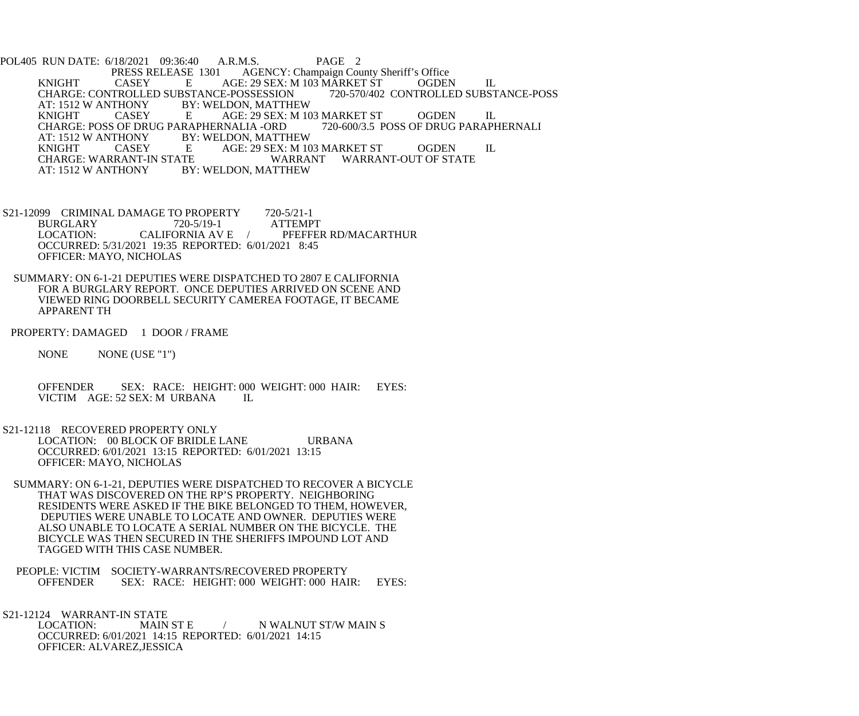POL405 RUN DATE: 6/18/2021 09:36:40 A.R.M.S. PAGE 2<br>PRESS RELEASE 1301 AGENCY: Champaign Cou PRESS RELEASE 1301 AGENCY: Champaign County Sheriff's Office<br>CASEY E AGE: 29 SEX: M 103 MARKET ST OGDEI KNIGHT CASEY E AGE: 29 SEX: M 103 MARKET ST OGDEN IL CHARGE: CONTROLLED SUBSTANCE-POSSESSION<br>AT: 1512 W ANTHONY BY: WELDON, MATTHE AT: 1512 W ANTHONY BY: WELDON, MATTHEW<br>
KNIGHT CASEY E AGE: 29 SEX: M 10 CASEY E AGE: 29 SEX: M 103 MARKET ST OGDEN IL<br>GF DRUG PARAPHERNALIA -ORD 720-600/3.5 POSS OF DRUG PARAPHERNALI CHARGE: POSS OF DRUG PARAPHERNALIA -ORD<br>AT: 1512 W ANTHONY BY: WELDON, MATTI AT: 1512 W ANTHONY BY: WELDON, MATTHEW<br>
KNIGHT CASEY E AGE: 29 SEX: M 10 KNIGHT CASEY E AGE: 29 SEX: M 103 MARKET ST OGDEN IL CHARGE: WARRANT-IN STATE WARRANT WARRANT-OUT OF STATE<br>AT: 1512 W ANTHONY BY: WELDON. MATTHEW BY: WELDON, MATTHEW

S21-12099 CRIMINAL DAMAGE TO PROPERTY 720-5/21-1<br>BURGLARY 720-5/19-1 ATTEMPT BURGLARY 720-5/19-1<br>LOCATION: CALIFORNIA AV E PFEFFER RD/MACARTHUR OCCURRED: 5/31/2021 19:35 REPORTED: 6/01/2021 8:45 OFFICER: MAYO, NICHOLAS

 SUMMARY: ON 6-1-21 DEPUTIES WERE DISPATCHED TO 2807 E CALIFORNIA FOR A BURGLARY REPORT. ONCE DEPUTIES ARRIVED ON SCENE AND VIEWED RING DOORBELL SECURITY CAMEREA FOOTAGE, IT BECAME APPARENT TH

PROPERTY: DAMAGED 1 DOOR / FRAME

NONE NONE (USE "1")

OFFENDER SEX: RACE: HEIGHT: 000 WEIGHT: 000 HAIR: EYES:<br>VICTIM AGE: 52 SEX: M URBANA IL VICTIM AGE: 52 SEX: M URBANA

 S21-12118 RECOVERED PROPERTY ONLY LOCATION: 00 BLOCK OF BRIDLE LANE URBANA OCCURRED: 6/01/2021 13:15 REPORTED: 6/01/2021 13:15 OFFICER: MAYO, NICHOLAS

- SUMMARY: ON 6-1-21, DEPUTIES WERE DISPATCHED TO RECOVER A BICYCLE THAT WAS DISCOVERED ON THE RP'S PROPERTY. NEIGHBORING RESIDENTS WERE ASKED IF THE BIKE BELONGED TO THEM, HOWEVER, DEPUTIES WERE UNABLE TO LOCATE AND OWNER. DEPUTIES WERE ALSO UNABLE TO LOCATE A SERIAL NUMBER ON THE BICYCLE. THE BICYCLE WAS THEN SECURED IN THE SHERIFFS IMPOUND LOT AND TAGGED WITH THIS CASE NUMBER.
- PEOPLE: VICTIM SOCIETY-WARRANTS/RECOVERED PROPERTY<br>OFFENDER SEX: RACE: HEIGHT: 000 WEIGHT: 000 HAI SEX: RACE: HEIGHT: 000 WEIGHT: 000 HAIR: EYES:

S21-12124 WARRANT-IN STATE<br>LOCATION: MAIN ST E

/ N WALNUT ST/W MAIN S OCCURRED: 6/01/2021 14:15 REPORTED: 6/01/2021 14:15 OFFICER: ALVAREZ,JESSICA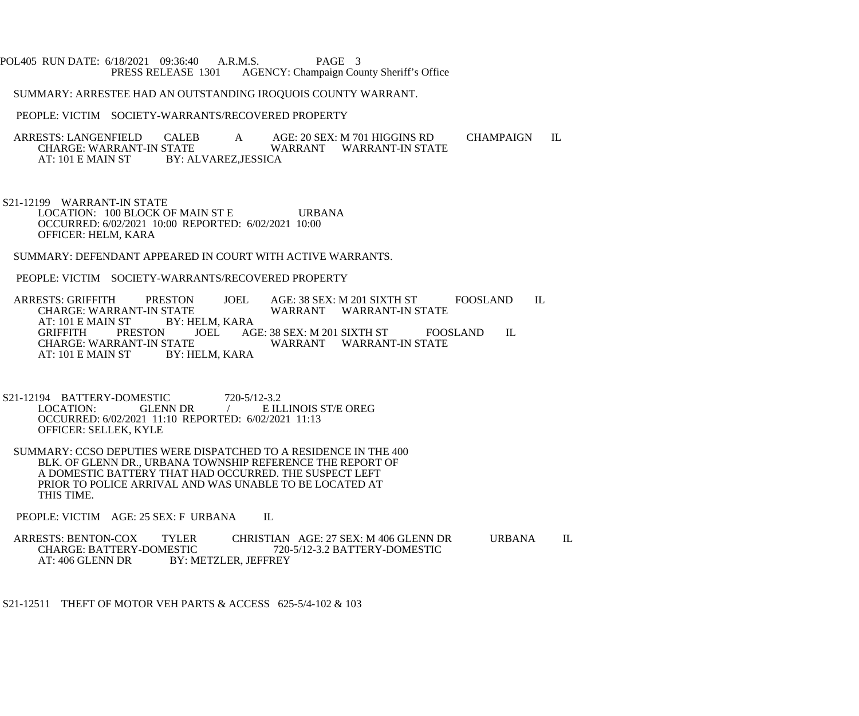## POL405 RUN DATE: 6/18/2021 09:36:40 A.R.M.S. PAGE 3<br>PRESS RELEASE 1301 AGENCY: Champaign Cou AGENCY: Champaign County Sheriff's Office

SUMMARY: ARRESTEE HAD AN OUTSTANDING IROQUOIS COUNTY WARRANT.

PEOPLE: VICTIM SOCIETY-WARRANTS/RECOVERED PROPERTY

ARRESTS: LANGENFIELD CALEB A AGE: 20 SEX: M 701 HIGGINS RD CHAMPAIGN IL<br>CHARGE: WARRANT-IN STATE WARRANT WARRANT-IN STATE CHARGE: WARRANT-IN STATE WARRANT WARRANT-IN STATE AT: 101 E MAIN ST BY: ALVAREZ, JESSICA BY: ALVAREZ, JESSICA

 S21-12199 WARRANT-IN STATE LOCATION: 100 BLOCK OF MAIN ST E URBANA OCCURRED: 6/02/2021 10:00 REPORTED: 6/02/2021 10:00 OFFICER: HELM, KARA

SUMMARY: DEFENDANT APPEARED IN COURT WITH ACTIVE WARRANTS.

PEOPLE: VICTIM SOCIETY-WARRANTS/RECOVERED PROPERTY

ARRESTS: GRIFFITH PRESTON JOEL AGE: 38 SEX: M 201 SIXTH ST FOOSLAND IL CHARGE: WARRANT-IN STATE CHARGE: WARRANT-IN STATE WARRANT WARRANT-IN STATE AT: 101 E MAIN ST BY: HELM, I<br>GRIFFITH PRESTON JOEL GRIFFITH PRESTON JOEL AGE: 38 SEX: M 201 SIXTH ST FOOSLAND IL CHARGE: WARRANT-IN STATE STATE WARRANT WARRANT-IN STATE<br>BY: HELM. KARA AT:  $101$  E MAIN ST

S21-12194 BATTERY-DOMESTIC 720-5/12-3.2<br>LOCATION: GLENN DR / EIL  $\angle$  E ILLINOIS ST/E OREG OCCURRED: 6/02/2021 11:10 REPORTED: 6/02/2021 11:13 OFFICER: SELLEK, KYLE

 SUMMARY: CCSO DEPUTIES WERE DISPATCHED TO A RESIDENCE IN THE 400 BLK. OF GLENN DR., URBANA TOWNSHIP REFERENCE THE REPORT OF A DOMESTIC BATTERY THAT HAD OCCURRED. THE SUSPECT LEFT PRIOR TO POLICE ARRIVAL AND WAS UNABLE TO BE LOCATED AT THIS TIME.

PEOPLE: VICTIM AGE: 25 SEX: F URBANA IL

ARRESTS: BENTON-COX TYLER CHRISTIAN AGE: 27 SEX: M 406 GLENN DR URBANA IL<br>CHARGE: BATTERY-DOMESTIC 720-5/12-3.2 BATTERY-DOMESTIC CHARGE: BATTERY-DOMESTIC 720-5/12-3.2 BATTERY-DOMESTIC AT: 406 GLENN DR BY: METZLER, JEFFREY

S21-12511 THEFT OF MOTOR VEH PARTS & ACCESS 625-5/4-102 & 103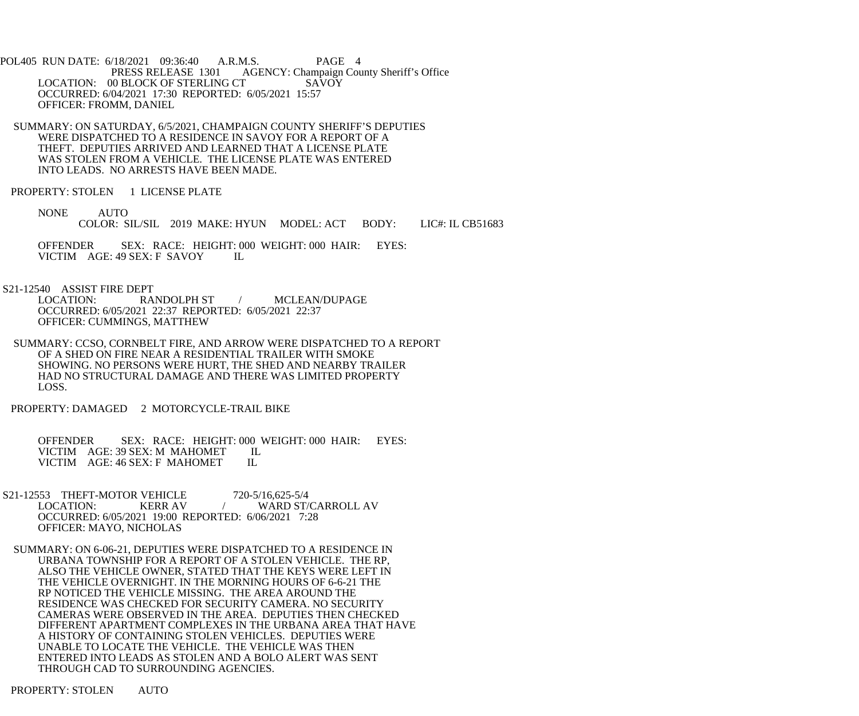POL405 RUN DATE: 6/18/2021 09:36:40 A.R.M.S. PAGE 4 PRESS RELEASE 1301 AGENCY: Champaign County Sheriff's Office LOCATION: 00 BLOCK OF STERLING CT SAVOY OCCURRED: 6/04/2021 17:30 REPORTED: 6/05/2021 15:57 OFFICER: FROMM, DANIEL

- SUMMARY: ON SATURDAY, 6/5/2021, CHAMPAIGN COUNTY SHERIFF'S DEPUTIES WERE DISPATCHED TO A RESIDENCE IN SAVOY FOR A REPORT OF A THEFT. DEPUTIES ARRIVED AND LEARNED THAT A LICENSE PLATE WAS STOLEN FROM A VEHICLE. THE LICENSE PLATE WAS ENTERED INTO LEADS. NO ARRESTS HAVE BEEN MADE.
- PROPERTY: STOLEN 1 LICENSE PLATE
	- NONE AUTO COLOR: SIL/SIL 2019 MAKE: HYUN MODEL: ACT BODY: LIC#: IL CB51683

 OFFENDER SEX: RACE: HEIGHT: 000 WEIGHT: 000 HAIR: EYES: VICTIM AGE: 49 SEX: F SAVOY IL

S21-12540 ASSIST FIRE DEPT

 LOCATION: RANDOLPH ST / MCLEAN/DUPAGE OCCURRED: 6/05/2021 22:37 REPORTED: 6/05/2021 22:37 OFFICER: CUMMINGS, MATTHEW

 SUMMARY: CCSO, CORNBELT FIRE, AND ARROW WERE DISPATCHED TO A REPORT OF A SHED ON FIRE NEAR A RESIDENTIAL TRAILER WITH SMOKE SHOWING. NO PERSONS WERE HURT, THE SHED AND NEARBY TRAILER HAD NO STRUCTURAL DAMAGE AND THERE WAS LIMITED PROPERTY LOSS.

PROPERTY: DAMAGED 2 MOTORCYCLE-TRAIL BIKE

 OFFENDER SEX: RACE: HEIGHT: 000 WEIGHT: 000 HAIR: EYES: VICTIM AGE: 39 SEX: M MAHOMET IL<br>VICTIM AGE: 46 SEX: F MAHOMET IL VICTIM AGE: 46 SEX: F MAHOMET

- S21-12553 THEFT-MOTOR VEHICLE 720-5/16,625-5/4<br>LOCATION: KERR AV / WARD ST/ WARD ST/CARROLL AV OCCURRED: 6/05/2021 19:00 REPORTED: 6/06/2021 7:28 OFFICER: MAYO, NICHOLAS
- SUMMARY: ON 6-06-21, DEPUTIES WERE DISPATCHED TO A RESIDENCE IN URBANA TOWNSHIP FOR A REPORT OF A STOLEN VEHICLE. THE RP, ALSO THE VEHICLE OWNER, STATED THAT THE KEYS WERE LEFT IN THE VEHICLE OVERNIGHT. IN THE MORNING HOURS OF 6-6-21 THE RP NOTICED THE VEHICLE MISSING. THE AREA AROUND THE RESIDENCE WAS CHECKED FOR SECURITY CAMERA. NO SECURITY CAMERAS WERE OBSERVED IN THE AREA. DEPUTIES THEN CHECKED DIFFERENT APARTMENT COMPLEXES IN THE URBANA AREA THAT HAVE A HISTORY OF CONTAINING STOLEN VEHICLES. DEPUTIES WERE UNABLE TO LOCATE THE VEHICLE. THE VEHICLE WAS THEN ENTERED INTO LEADS AS STOLEN AND A BOLO ALERT WAS SENT THROUGH CAD TO SURROUNDING AGENCIES.

PROPERTY: STOLEN AUTO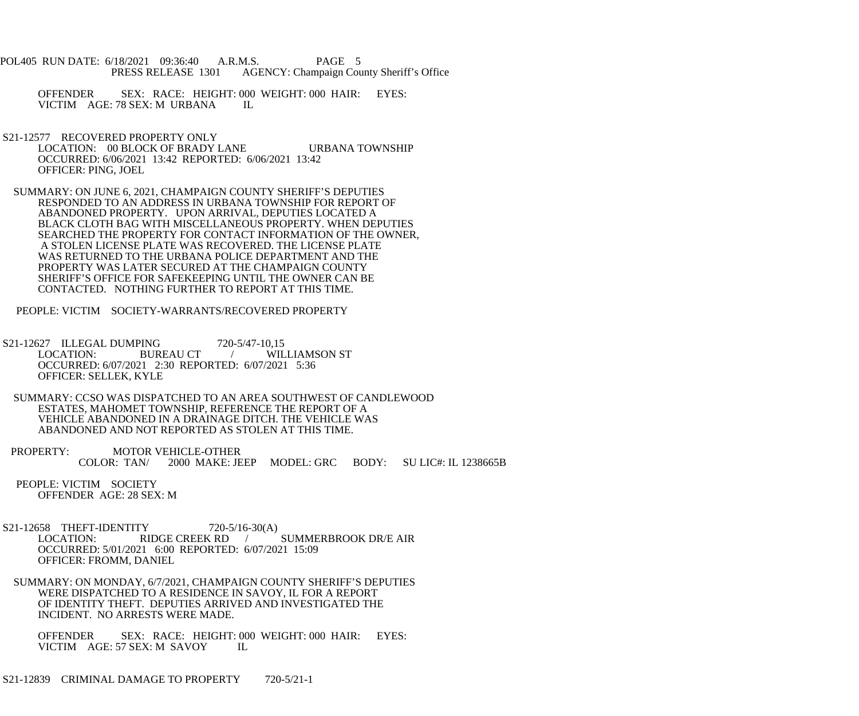- POL405 RUN DATE: 6/18/2021 09:36:40 A.R.M.S. PAGE 5 PRESS RELEASE 1301 AGENCY: Champaign County Sheriff's Office
	- OFFENDER SEX: RACE: HEIGHT: 000 WEIGHT: 000 HAIR: EYES: VICTIM AGE: 78 SEX: M URBANA IL
- S21-12577 RECOVERED PROPERTY ONLY LOCATION: 00 BLOCK OF BRADY LANE URBANA TOWNSHIP OCCURRED: 6/06/2021 13:42 REPORTED: 6/06/2021 13:42 OFFICER: PING, JOEL
- SUMMARY: ON JUNE 6, 2021, CHAMPAIGN COUNTY SHERIFF'S DEPUTIES RESPONDED TO AN ADDRESS IN URBANA TOWNSHIP FOR REPORT OF ABANDONED PROPERTY. UPON ARRIVAL, DEPUTIES LOCATED A BLACK CLOTH BAG WITH MISCELLANEOUS PROPERTY. WHEN DEPUTIES SEARCHED THE PROPERTY FOR CONTACT INFORMATION OF THE OWNER, A STOLEN LICENSE PLATE WAS RECOVERED. THE LICENSE PLATE WAS RETURNED TO THE URBANA POLICE DEPARTMENT AND THE PROPERTY WAS LATER SECURED AT THE CHAMPAIGN COUNTY SHERIFF'S OFFICE FOR SAFEKEEPING UNTIL THE OWNER CAN BE CONTACTED. NOTHING FURTHER TO REPORT AT THIS TIME.
- PEOPLE: VICTIM SOCIETY-WARRANTS/RECOVERED PROPERTY
- S21-12627 ILLEGAL DUMPING 720-5/47-10,15<br>LOCATION: BUREAU CT / WIL LOCATION: BUREAU CT / WILLIAMSON ST OCCURRED: 6/07/2021 2:30 REPORTED: 6/07/2021 5:36 OFFICER: SELLEK, KYLE
- SUMMARY: CCSO WAS DISPATCHED TO AN AREA SOUTHWEST OF CANDLEWOOD ESTATES, MAHOMET TOWNSHIP, REFERENCE THE REPORT OF A VEHICLE ABANDONED IN A DRAINAGE DITCH. THE VEHICLE WAS ABANDONED AND NOT REPORTED AS STOLEN AT THIS TIME.
- PROPERTY: MOTOR VEHICLE-OTHER COLOR: TAN/ 2000 MAKE: JEEP MODEL: GRC BODY: SU LIC#: IL 1238665B
- PEOPLE: VICTIM SOCIETY OFFENDER AGE: 28 SEX: M
- S21-12658 THEFT-IDENTITY 720-5/16-30(A)<br>LOCATION: RIDGE CREEK RD LOCATION: RIDGE CREEK RD / SUMMERBROOK DR/E AIR OCCURRED: 5/01/2021 6:00 REPORTED: 6/07/2021 15:09 OFFICER: FROMM, DANIEL
- SUMMARY: ON MONDAY, 6/7/2021, CHAMPAIGN COUNTY SHERIFF'S DEPUTIES WERE DISPATCHED TO A RESIDENCE IN SAVOY, IL FOR A REPORT OF IDENTITY THEFT. DEPUTIES ARRIVED AND INVESTIGATED THE INCIDENT. NO ARRESTS WERE MADE.
	- OFFENDER SEX: RACE: HEIGHT: 000 WEIGHT: 000 HAIR: EYES: VICTIM AGE: 57 SEX: M SAVOY IL